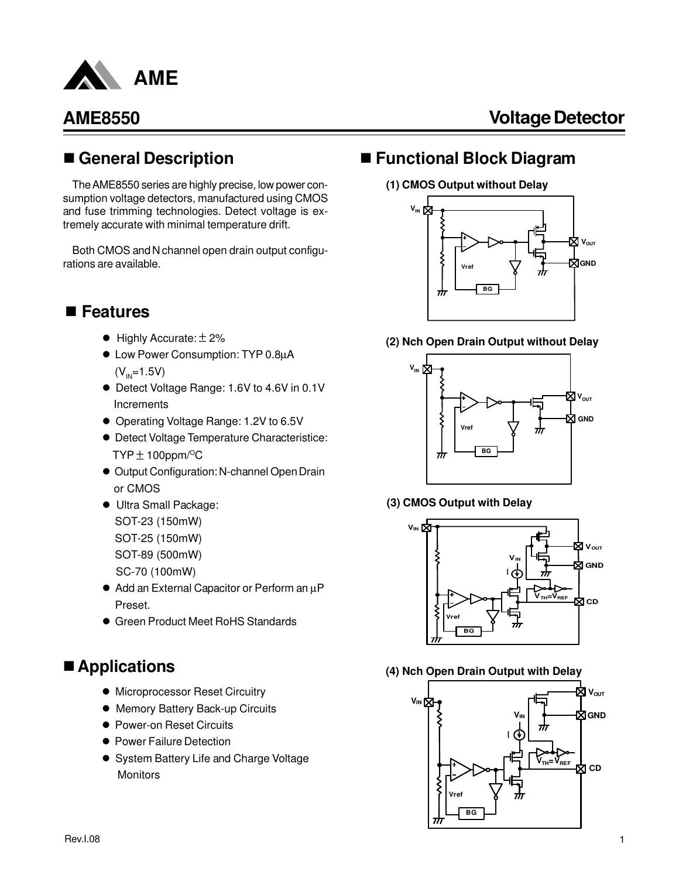

## n **General Description**

The AME8550 series are highly precise, low power consumption voltage detectors, manufactured using CMOS and fuse trimming technologies. Detect voltage is extremely accurate with minimal temperature drift.

Both CMOS and N channel open drain output configurations are available.

## n **Features**

- $\bullet$  Highly Accurate:  $\pm$  2%
- Low Power Consumption: TYP 0.8µA  $(V_{IN} = 1.5V)$
- Detect Voltage Range: 1.6V to 4.6V in 0.1V Increments
- Operating Voltage Range: 1.2V to 6.5V
- **Detect Voltage Temperature Characteristice:**  $TYP \pm 100$ ppm/<sup>o</sup>C
- Output Configuration: N-channel Open Drain or CMOS
- $\bullet$  Ultra Small Package: SOT-23 (150mW) SOT-25 (150mW) SOT-89 (500mW) SC-70 (100mW)
- Add an External Capacitor or Perform an µP Preset.
- **Green Product Meet RoHS Standards**

## ■ Applications

- **Microprocessor Reset Circuitry**
- **Memory Battery Back-up Circuits**
- Power-on Reset Circuits
- **Power Failure Detection**
- System Battery Life and Charge Voltage **Monitors**

## ■ Functional Block Diagram

### **(1) CMOS Output without Delay**



### **(2) Nch Open Drain Output without Delay**



### **(3) CMOS Output with Delay**



### **(4) Nch Open Drain Output with Delay**

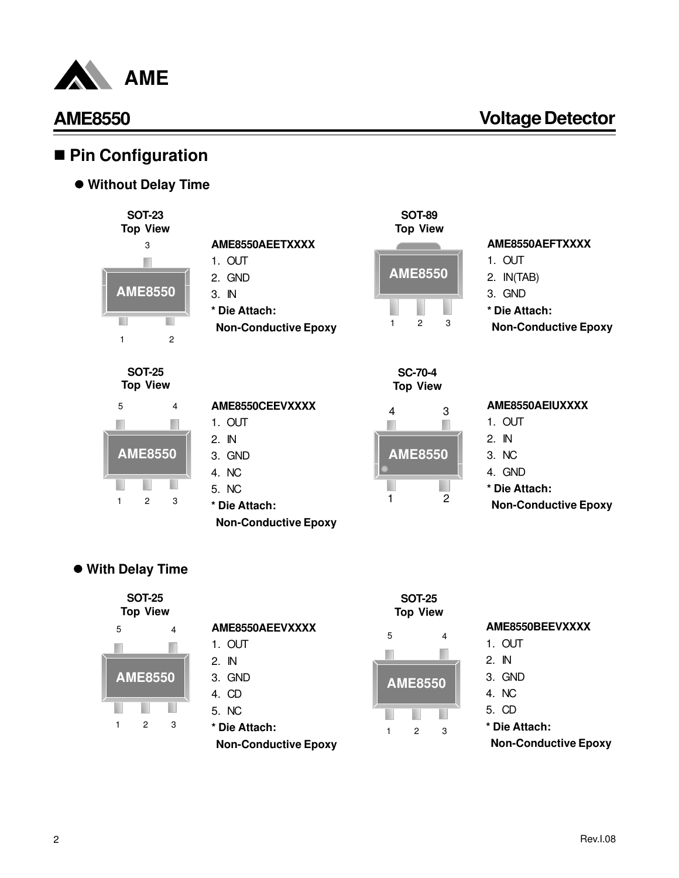

## ■ Pin Configuration

 $\bullet$  **Without Delay Time** 



**SOT-25 Top View**



## **AME8550AEETXXXX** 1. OUT 2. GND 3. IN **\* Die Attach: Non-Conductive Epoxy AME8550CEEVXXXX** 1. OUT 2. IN

3. GND 4. NC 5. NC

**\* Die Attach:**

 **Non-Conductive Epoxy**



## **AME8550AEFTXXXX**

- 1. OUT
- 2. IN(TAB)
- 3. GND
- **\* Die Attach:**
- **Non-Conductive Epoxy**

**SC-70-4 Top View**

| 4              | 3 |
|----------------|---|
| <b>AME8550</b> |   |
|                | 2 |

### **AME8550AEIUXXXX**

- 1. OUT
- 2. IN
- 3. NC
- 4. GND
- **\* Die Attach:**
- **Non-Conductive Epoxy**

### l **With Delay Time**



| <b>SOT-25</b><br><b>Top View</b> |                             |
|----------------------------------|-----------------------------|
| AME8550AEEVXXXX                  | AME8550BEEVXXXX             |
| 5<br>4<br>1. OUT                 | 1. OUT                      |
| 2. IN                            | 2. IN                       |
| 3. GND<br><b>AME8550</b>         | 3. GND                      |
| 4. CD                            | 4. NC                       |
| 5. NC                            | 5. CD                       |
| * Die Attach:<br>3<br>2          | * Die Attach:               |
| <b>Non-Conductive Epoxy</b>      | <b>Non-Conductive Epoxy</b> |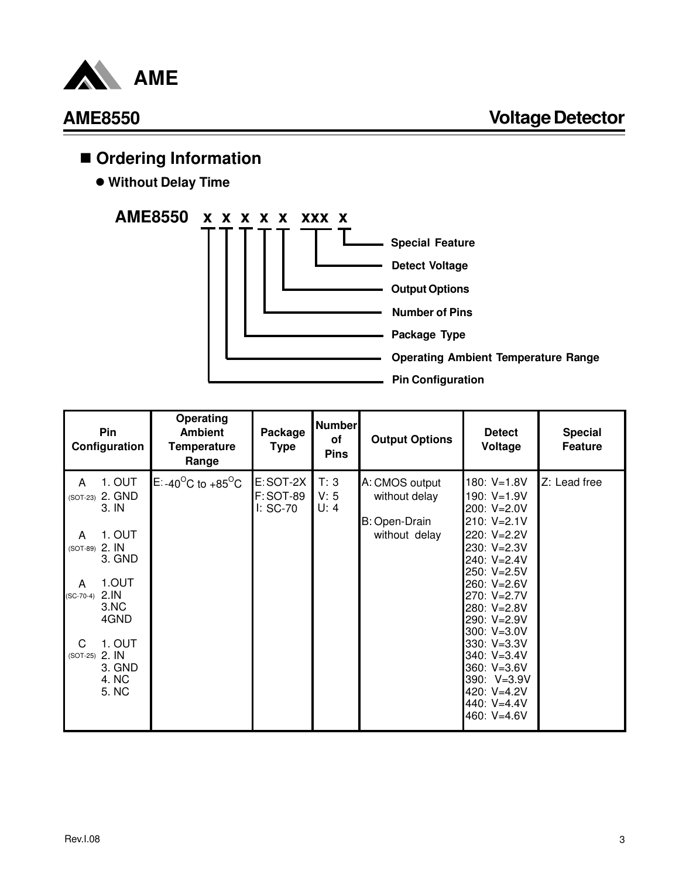

## ■ Ordering Information

 $\bullet$  **Without Delay Time** 



|                                              | Pin<br>Configuration                                                    | <b>Operating</b><br><b>Ambient</b><br><b>Temperature</b><br>Range | Package<br>Type                           | <b>Number</b><br>of<br><b>Pins</b> | <b>Output Options</b>                                             | <b>Detect</b><br>Voltage                                                                                                                  | <b>Special</b><br><b>Feature</b> |
|----------------------------------------------|-------------------------------------------------------------------------|-------------------------------------------------------------------|-------------------------------------------|------------------------------------|-------------------------------------------------------------------|-------------------------------------------------------------------------------------------------------------------------------------------|----------------------------------|
| A<br>A<br>(SOT-89) 2. IN<br>A<br>$(SC-70-4)$ | 1. OUT<br>(SOT-23) 2. GND<br>3. IN<br>1. OUT<br>3. GND<br>1.OUT<br>2.IN | E -40 <sup>o</sup> C to +85 <sup>o</sup> C                        | <b>E:SOT-2X</b><br>F:SOT-89<br>$l: SC-70$ | T: 3<br>V: 5<br>U: 4               | A: CMOS output<br>without delay<br>B: Open-Drain<br>without delay | 180 V=1.8V<br>190 V=1.9V<br>200: V=2.0V<br>210 V=2.1V<br>220 V=2.2V<br>230 V=2.3V<br>240 V=2.4V<br>250 V=2.5V<br>260 V=2.6V<br>270 V=2.7V | Z: Lead free                     |
| C<br>$(SOT-25)$                              | 3.NC<br>4GND<br>1. OUT<br>2. IN<br>3. GND<br>4. NC<br>5. NC             |                                                                   |                                           |                                    |                                                                   | 280 V=2.8V<br>290 V=2.9V<br>300 V=3.0V<br>330 V=3.3V<br>340 V=3.4V<br>360 V=3.6V<br>390 V=3.9V<br>420 V=4.2V<br>440 V=4.4V<br>460 V=4.6V  |                                  |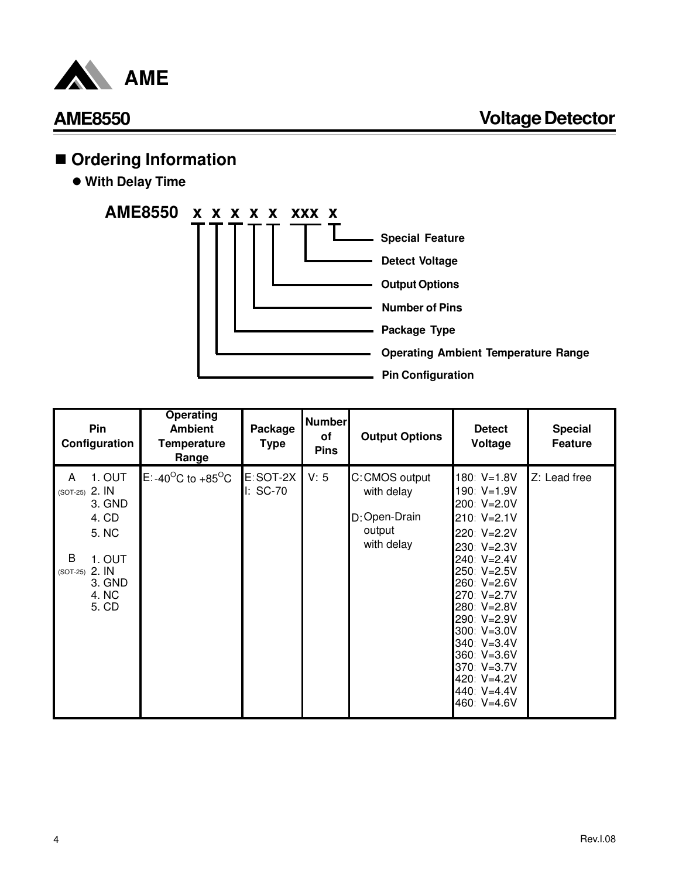

## ■ Ordering Information

 $\bullet$  **With Delay Time** 



| Pin<br>Configuration                   |                                                                                   | <b>Operating</b><br><b>Ambient</b><br><b>Temperature</b><br>Range | Package<br>Type        | Number<br>of<br><b>Pins</b> | <b>Output Options</b>                                                 | <b>Detect</b><br>Voltage                                                                                                                                                                                                                                                              | <b>Special</b><br><b>Feature</b> |
|----------------------------------------|-----------------------------------------------------------------------------------|-------------------------------------------------------------------|------------------------|-----------------------------|-----------------------------------------------------------------------|---------------------------------------------------------------------------------------------------------------------------------------------------------------------------------------------------------------------------------------------------------------------------------------|----------------------------------|
| A<br>(SOT-25) 2. IN<br>B<br>$(SOT-25)$ | 1. OUT<br>3. GND<br>4. CD<br>5. NC<br>1. OUT<br>2. IN<br>3. GND<br>4. NC<br>5. CD | E: -40 <sup>o</sup> C to +85 <sup>o</sup> C                       | E:SOT-2X<br>$I: SC-70$ | V: 5                        | C: CMOS output<br>with delay<br>D: Open-Drain<br>output<br>with delay | 180 V=1.8V<br>190: V=1.9V<br>200: V=2.0V<br>210: V=2.1V<br>220: V=2.2V<br>230 V=2.3V<br>240: V=2.4V<br>$250: V=2.5V$<br>260 V=2.6V<br>270: V=2.7V<br>280 V=2.8V<br>290: V=2.9V<br>300: V=3.0V<br>340: V=3.4V<br>360: V=3.6V<br>370: V=3.7V<br>420 V=4.2V<br>440 V=4.4V<br>460: V=4.6V | Z: Lead free                     |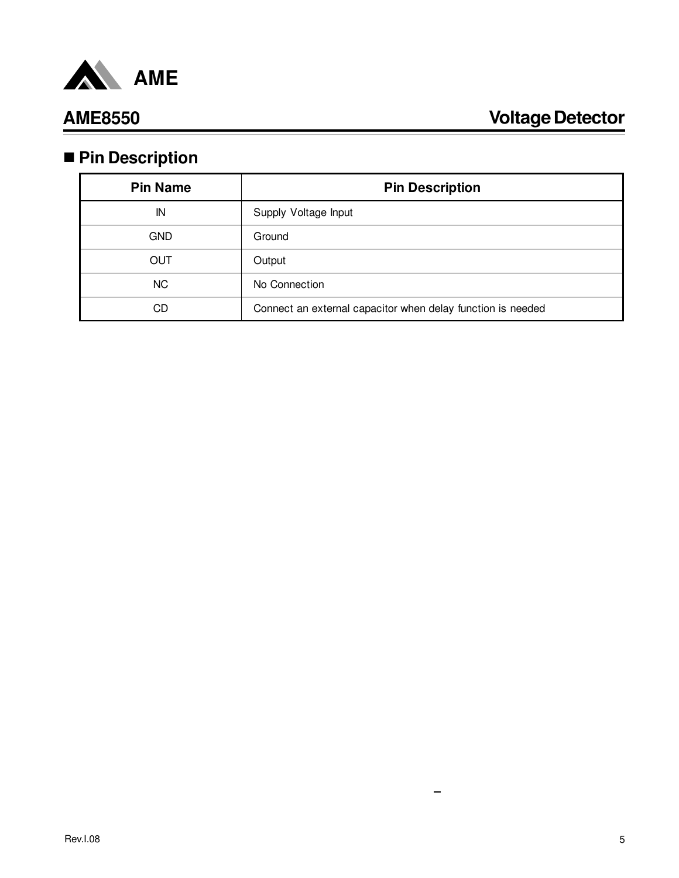

# n **Pin Description**

| <b>Pin Name</b> | <b>Pin Description</b>                                      |  |  |  |  |
|-----------------|-------------------------------------------------------------|--|--|--|--|
| IN              | Supply Voltage Input                                        |  |  |  |  |
| <b>GND</b>      | Ground                                                      |  |  |  |  |
| OUT             | Output                                                      |  |  |  |  |
| <b>NC</b>       | No Connection                                               |  |  |  |  |
| CD              | Connect an external capacitor when delay function is needed |  |  |  |  |

 $\overline{\phantom{m}}$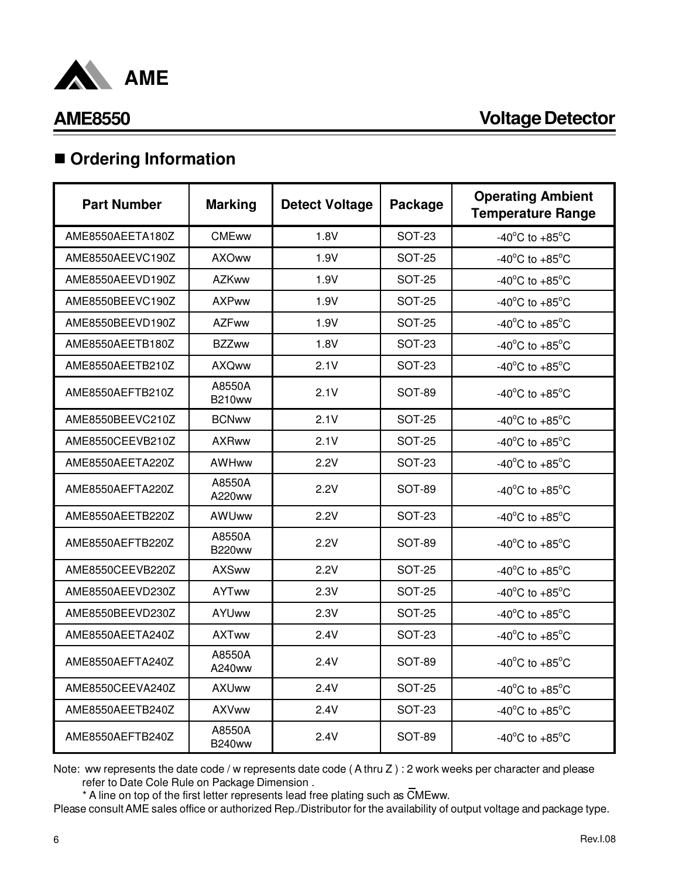

## $\blacksquare$  Ordering Information

| <b>Part Number</b> | <b>Marking</b>          | <b>Detect Voltage</b> | Package       | <b>Operating Ambient</b><br><b>Temperature Range</b> |
|--------------------|-------------------------|-----------------------|---------------|------------------------------------------------------|
| AME8550AEETA180Z   | <b>CMEww</b>            | 1.8V                  | <b>SOT-23</b> | -40 $^{\circ}$ C to +85 $^{\circ}$ C                 |
| AME8550AEEVC190Z   | <b>AXOww</b>            | 1.9V                  | <b>SOT-25</b> | -40 $^{\circ}$ C to +85 $^{\circ}$ C                 |
| AME8550AEEVD190Z   | <b>AZKww</b>            | 1.9V                  | <b>SOT-25</b> | -40 $^{\circ}$ C to +85 $^{\circ}$ C                 |
| AME8550BEEVC190Z   | <b>AXPww</b>            | 1.9V                  | <b>SOT-25</b> | -40 $^{\circ}$ C to +85 $^{\circ}$ C                 |
| AME8550BEEVD190Z   | <b>AZFww</b>            | 1.9V                  | SOT-25        | -40 $^{\circ}$ C to +85 $^{\circ}$ C                 |
| AME8550AEETB180Z   | <b>BZZww</b>            | 1.8V                  | SOT-23        | -40 $^{\circ}$ C to +85 $^{\circ}$ C                 |
| AME8550AEETB210Z   | <b>AXQww</b>            | 2.1V                  | <b>SOT-23</b> | -40 $^{\circ}$ C to +85 $^{\circ}$ C                 |
| AME8550AEFTB210Z   | A8550A<br><b>B210ww</b> | 2.1V                  | SOT-89        | -40 $^{\circ}$ C to +85 $^{\circ}$ C                 |
| AME8550BEEVC210Z   | <b>BCNww</b>            | 2.1V                  | SOT-25        | -40 $^{\circ}$ C to +85 $^{\circ}$ C                 |
| AME8550CEEVB210Z   | <b>AXRww</b>            | 2.1V                  | <b>SOT-25</b> | -40 $^{\circ}$ C to +85 $^{\circ}$ C                 |
| AME8550AEETA220Z   | <b>AWHww</b>            | 2.2V                  | SOT-23        | -40 $^{\circ}$ C to +85 $^{\circ}$ C                 |
| AME8550AEFTA220Z   | A8550A<br>A220ww        | 2.2V                  | SOT-89        | -40 $^{\circ}$ C to +85 $^{\circ}$ C                 |
| AME8550AEETB220Z   | AWUww                   | 2.2V                  | <b>SOT-23</b> | -40 $^{\circ}$ C to +85 $^{\circ}$ C                 |
| AME8550AEFTB220Z   | A8550A<br><b>B220ww</b> | 2.2V                  | SOT-89        | -40 $^{\circ}$ C to +85 $^{\circ}$ C                 |
| AME8550CEEVB220Z   | <b>AXSww</b>            | 2.2V                  | <b>SOT-25</b> | -40 $^{\circ}$ C to +85 $^{\circ}$ C                 |
| AME8550AEEVD230Z   | <b>AYTww</b>            | 2.3V                  | <b>SOT-25</b> | -40 $^{\circ}$ C to +85 $^{\circ}$ C                 |
| AME8550BEEVD230Z   | <b>AYUww</b>            | 2.3V                  | <b>SOT-25</b> | -40 $^{\circ}$ C to +85 $^{\circ}$ C                 |
| AME8550AEETA240Z   | <b>AXTww</b>            | 2.4V                  | <b>SOT-23</b> | -40 $^{\circ}$ C to +85 $^{\circ}$ C                 |
| AME8550AEFTA240Z   | A8550A<br>A240ww        | 2.4V                  | SOT-89        | -40 $^{\circ}$ C to +85 $^{\circ}$ C                 |
| AME8550CEEVA240Z   | <b>AXUww</b>            | 2.4V                  | <b>SOT-25</b> | -40 $^{\circ}$ C to +85 $^{\circ}$ C                 |
| AME8550AEETB240Z   | <b>AXVww</b>            | 2.4V                  | <b>SOT-23</b> | -40 $^{\circ}$ C to +85 $^{\circ}$ C                 |
| AME8550AEFTB240Z   | A8550A<br><b>B240ww</b> | 2.4V                  | SOT-89        | -40 $^{\circ}$ C to +85 $^{\circ}$ C                 |

Note: ww represents the date code / w represents date code ( A thru Z ) : 2 work weeks per character and please refer to Date Cole Rule on Package Dimension .

\* A line on top of the first letter represents lead free plating such as CMEww.

Please consult AME sales office or authorized Rep./Distributor for the availability of output voltage and package type.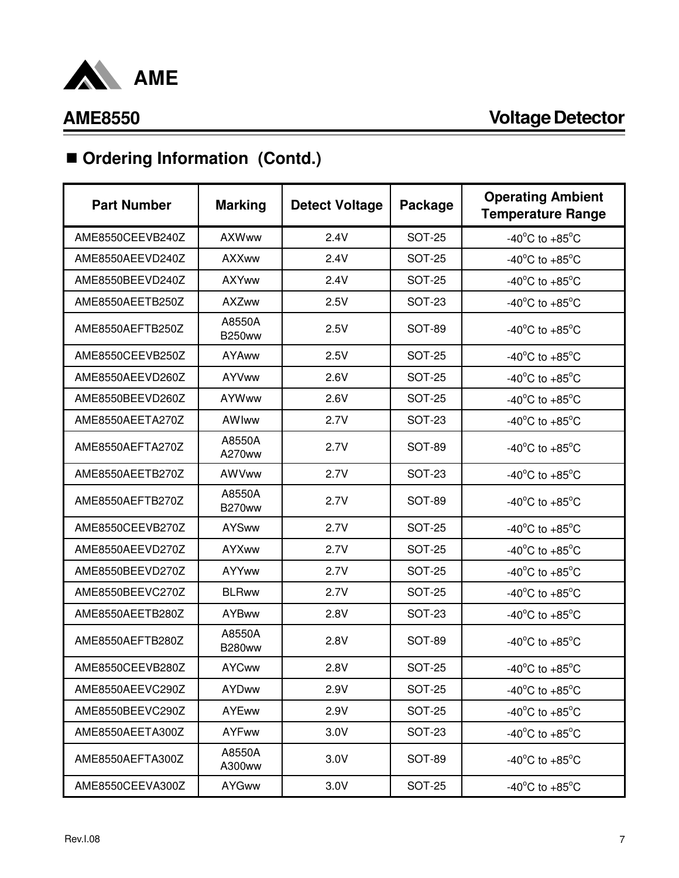

# ■ Ordering Information (Contd.)

| <b>Part Number</b> | <b>Marking</b>          | <b>Detect Voltage</b> | Package       | <b>Operating Ambient</b><br><b>Temperature Range</b> |
|--------------------|-------------------------|-----------------------|---------------|------------------------------------------------------|
| AME8550CEEVB240Z   | <b>AXWww</b>            | 2.4V                  | <b>SOT-25</b> | -40 $^{\circ}$ C to +85 $^{\circ}$ C                 |
| AME8550AEEVD240Z   | <b>AXXww</b>            | 2.4V                  | <b>SOT-25</b> | -40 $^{\circ}$ C to +85 $^{\circ}$ C                 |
| AME8550BEEVD240Z   | <b>AXYww</b>            | 2.4V                  | <b>SOT-25</b> | -40 $^{\circ}$ C to +85 $^{\circ}$ C                 |
| AME8550AEETB250Z   | <b>AXZww</b>            | 2.5V                  | <b>SOT-23</b> | -40 $^{\circ}$ C to +85 $^{\circ}$ C                 |
| AME8550AEFTB250Z   | A8550A<br><b>B250ww</b> | 2.5V                  | <b>SOT-89</b> | -40 $^{\circ}$ C to +85 $^{\circ}$ C                 |
| AME8550CEEVB250Z   | AYAww                   | 2.5V                  | <b>SOT-25</b> | -40 $^{\circ}$ C to +85 $^{\circ}$ C                 |
| AME8550AEEVD260Z   | <b>AYVww</b>            | 2.6V                  | <b>SOT-25</b> | -40 $^{\circ}$ C to +85 $^{\circ}$ C                 |
| AME8550BEEVD260Z   | <b>AYWww</b>            | 2.6V                  | <b>SOT-25</b> | -40 $^{\circ}$ C to +85 $^{\circ}$ C                 |
| AME8550AEETA270Z   | AWIww                   | 2.7V                  | <b>SOT-23</b> | -40 $^{\circ}$ C to +85 $^{\circ}$ C                 |
| AME8550AEFTA270Z   | A8550A<br>A270ww        | 2.7V                  | <b>SOT-89</b> | -40 $^{\circ}$ C to +85 $^{\circ}$ C                 |
| AME8550AEETB270Z   | AWVww                   | 2.7V                  | <b>SOT-23</b> | -40 $^{\circ}$ C to +85 $^{\circ}$ C                 |
| AME8550AEFTB270Z   | A8550A<br><b>B270ww</b> | 2.7V                  | <b>SOT-89</b> | -40 $^{\circ}$ C to +85 $^{\circ}$ C                 |
| AME8550CEEVB270Z   | <b>AYSww</b>            | 2.7V                  | <b>SOT-25</b> | -40 $^{\circ}$ C to +85 $^{\circ}$ C                 |
| AME8550AEEVD270Z   | AYXww                   | 2.7V                  | <b>SOT-25</b> | -40 $^{\circ}$ C to +85 $^{\circ}$ C                 |
| AME8550BEEVD270Z   | <b>AYYww</b>            | 2.7V                  | <b>SOT-25</b> | -40 $^{\circ}$ C to +85 $^{\circ}$ C                 |
| AME8550BEEVC270Z   | <b>BLRww</b>            | 2.7V                  | <b>SOT-25</b> | -40 $^{\circ}$ C to +85 $^{\circ}$ C                 |
| AME8550AEETB280Z   | <b>AYBww</b>            | 2.8V                  | SOT-23        | -40 $^{\circ}$ C to +85 $^{\circ}$ C                 |
| AME8550AEFTB280Z   | A8550A<br><b>B280ww</b> | 2.8V                  | SOT-89        | -40 $^{\circ}$ C to +85 $^{\circ}$ C                 |
| AME8550CEEVB280Z   | <b>AYCww</b>            | 2.8V                  | <b>SOT-25</b> | -40 $^{\circ}$ C to +85 $^{\circ}$ C                 |
| AME8550AEEVC290Z   | <b>AYDww</b>            | 2.9V                  | <b>SOT-25</b> | -40 $^{\circ}$ C to +85 $^{\circ}$ C                 |
| AME8550BEEVC290Z   | <b>AYEww</b>            | 2.9V                  | <b>SOT-25</b> | -40 $^{\circ}$ C to +85 $^{\circ}$ C                 |
| AME8550AEETA300Z   | <b>AYFww</b>            | 3.0V                  | <b>SOT-23</b> | -40 $^{\circ}$ C to +85 $^{\circ}$ C                 |
| AME8550AEFTA300Z   | A8550A<br>A300ww        | 3.0V                  | <b>SOT-89</b> | -40 $^{\circ}$ C to +85 $^{\circ}$ C                 |
| AME8550CEEVA300Z   | <b>AYGww</b>            | 3.0V                  | <b>SOT-25</b> | -40 $^{\circ}$ C to +85 $^{\circ}$ C                 |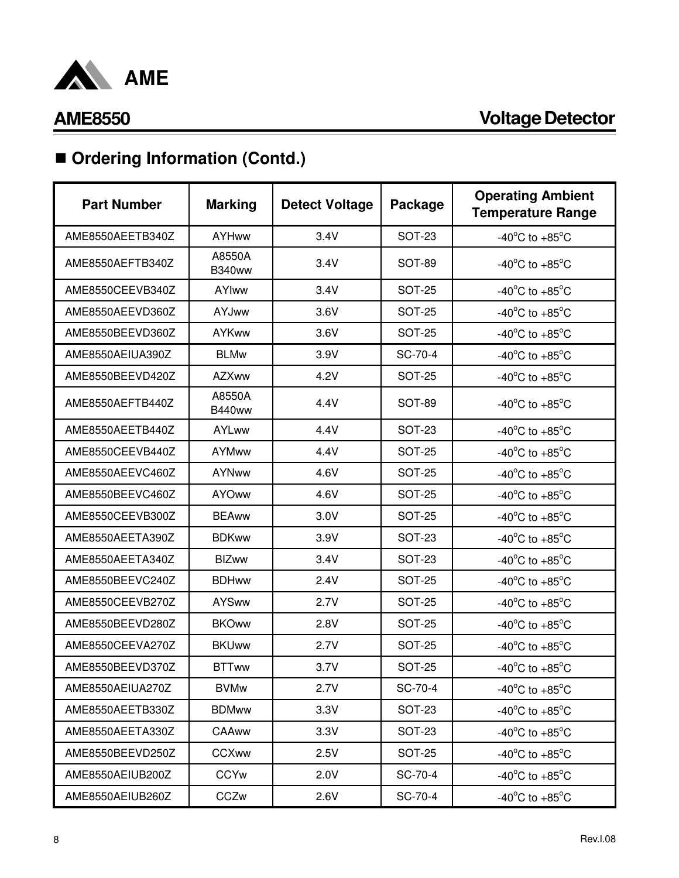

# ■ Ordering Information (Contd.)

| <b>Part Number</b> | <b>Marking</b>          | <b>Detect Voltage</b> | Package       | <b>Operating Ambient</b><br><b>Temperature Range</b> |
|--------------------|-------------------------|-----------------------|---------------|------------------------------------------------------|
| AME8550AEETB340Z   | <b>AYHww</b>            | 3.4V                  | <b>SOT-23</b> | -40 $^{\circ}$ C to +85 $^{\circ}$ C                 |
| AME8550AEFTB340Z   | A8550A<br><b>B340ww</b> | 3.4V                  | <b>SOT-89</b> | -40 $^{\circ}$ C to +85 $^{\circ}$ C                 |
| AME8550CEEVB340Z   | <b>AYIww</b>            | 3.4V                  | <b>SOT-25</b> | -40 $^{\circ}$ C to +85 $^{\circ}$ C                 |
| AME8550AEEVD360Z   | <b>AYJww</b>            | 3.6V                  | <b>SOT-25</b> | -40 $^{\circ}$ C to +85 $^{\circ}$ C                 |
| AME8550BEEVD360Z   | <b>AYKww</b>            | 3.6V                  | <b>SOT-25</b> | -40 $^{\circ}$ C to +85 $^{\circ}$ C                 |
| AME8550AEIUA390Z   | <b>BLMw</b>             | 3.9V                  | SC-70-4       | -40 $^{\circ}$ C to +85 $^{\circ}$ C                 |
| AME8550BEEVD420Z   | <b>AZXww</b>            | 4.2V                  | <b>SOT-25</b> | -40 $^{\circ}$ C to +85 $^{\circ}$ C                 |
| AME8550AEFTB440Z   | A8550A<br><b>B440ww</b> | 4.4V                  | SOT-89        | -40 $^{\circ}$ C to +85 $^{\circ}$ C                 |
| AME8550AEETB440Z   | AYLww                   | 4.4V                  | <b>SOT-23</b> | -40 $^{\circ}$ C to +85 $^{\circ}$ C                 |
| AME8550CEEVB440Z   | <b>AYMww</b>            | 4.4V                  | <b>SOT-25</b> | -40 $^{\circ}$ C to +85 $^{\circ}$ C                 |
| AME8550AEEVC460Z   | <b>AYNww</b>            | 4.6V                  | <b>SOT-25</b> | -40 $^{\circ}$ C to +85 $^{\circ}$ C                 |
| AME8550BEEVC460Z   | <b>AYOww</b>            | 4.6V                  | <b>SOT-25</b> | -40 $^{\circ}$ C to +85 $^{\circ}$ C                 |
| AME8550CEEVB300Z   | <b>BEAww</b>            | 3.0V                  | <b>SOT-25</b> | -40 $^{\circ}$ C to +85 $^{\circ}$ C                 |
| AME8550AEETA390Z   | <b>BDKww</b>            | 3.9V                  | <b>SOT-23</b> | -40 $^{\circ}$ C to +85 $^{\circ}$ C                 |
| AME8550AEETA340Z   | <b>BIZww</b>            | 3.4V                  | <b>SOT-23</b> | -40 $^{\circ}$ C to +85 $^{\circ}$ C                 |
| AME8550BEEVC240Z   | <b>BDHww</b>            | 2.4V                  | <b>SOT-25</b> | -40 $^{\circ}$ C to +85 $^{\circ}$ C                 |
| AME8550CEEVB270Z   | <b>AYSww</b>            | 2.7V                  | <b>SOT-25</b> | -40 $^{\circ}$ C to +85 $^{\circ}$ C                 |
| AME8550BEEVD280Z   | <b>BKOww</b>            | 2.8V                  | <b>SOT-25</b> | -40 $^{\circ}$ C to +85 $^{\circ}$ C                 |
| AME8550CEEVA270Z   | <b>BKUww</b>            | 2.7V                  | <b>SOT-25</b> | -40 $^{\circ}$ C to +85 $^{\circ}$ C                 |
| AME8550BEEVD370Z   | <b>BTTww</b>            | 3.7V                  | <b>SOT-25</b> | -40 $^{\circ}$ C to +85 $^{\circ}$ C                 |
| AME8550AEIUA270Z   | <b>BVMw</b>             | 2.7V                  | SC-70-4       | -40 $^{\circ}$ C to +85 $^{\circ}$ C                 |
| AME8550AEETB330Z   | <b>BDMww</b>            | 3.3V                  | <b>SOT-23</b> | -40 $^{\circ}$ C to +85 $^{\circ}$ C                 |
| AME8550AEETA330Z   | CAAww                   | 3.3V                  | <b>SOT-23</b> | -40 $^{\circ}$ C to +85 $^{\circ}$ C                 |
| AME8550BEEVD250Z   | <b>CCXww</b>            | 2.5V                  | <b>SOT-25</b> | -40 $^{\circ}$ C to +85 $^{\circ}$ C                 |
| AME8550AEIUB200Z   | <b>CCYw</b>             | 2.0V                  | SC-70-4       | -40 $^{\circ}$ C to +85 $^{\circ}$ C                 |
| AME8550AEIUB260Z   | CCZw                    | 2.6V                  | SC-70-4       | -40 $^{\circ}$ C to +85 $^{\circ}$ C                 |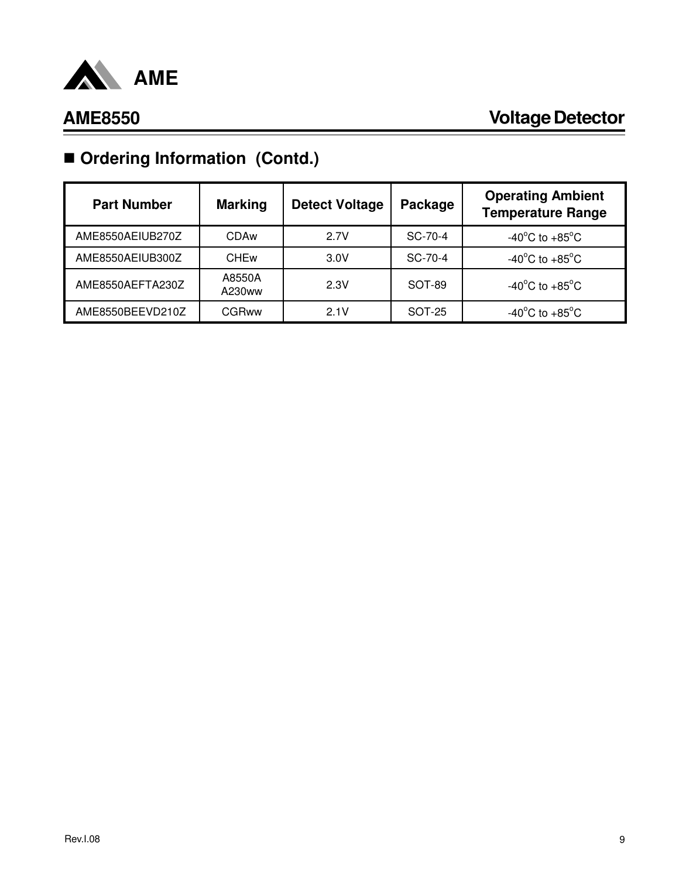

# ■ Ordering Information (Contd.)

| <b>Part Number</b> | <b>Marking</b>         | <b>Detect Voltage</b> | Package | <b>Operating Ambient</b><br><b>Temperature Range</b> |
|--------------------|------------------------|-----------------------|---------|------------------------------------------------------|
| AME8550AEIUB270Z   | CDAw                   | 2.7V                  | SC-70-4 | -40 $^{\circ}$ C to +85 $^{\circ}$ C                 |
| AME8550AEIUB300Z   | <b>CHE<sub>w</sub></b> | 3.0V                  | SC-70-4 | -40 $^{\circ}$ C to +85 $^{\circ}$ C                 |
| AME8550AEFTA230Z   | A8550A<br>A230ww       | 2.3V                  | SOT-89  | -40 $^{\circ}$ C to +85 $^{\circ}$ C                 |
| AME8550BEEVD210Z   | CGRww                  | 2.1V                  | SOT-25  | $-40^{\circ}$ C to $+85^{\circ}$ C                   |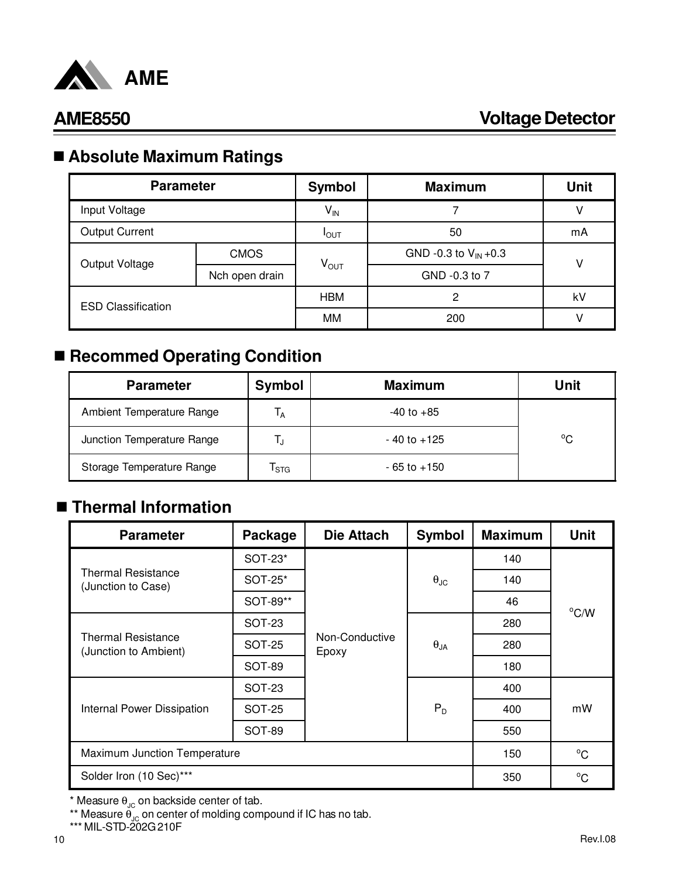

## n **Absolute Maximum Ratings**

| <b>Parameter</b>          |                | <b>Symbol</b>    | <b>Maximum</b>            | Unit |  |
|---------------------------|----------------|------------------|---------------------------|------|--|
| Input Voltage             |                | $V_{IN}$         |                           |      |  |
| <b>Output Current</b>     |                | $I_{\text{OUT}}$ | 50                        | mA   |  |
| Output Voltage            | <b>CMOS</b>    | $V_{\text{OUT}}$ | GND -0.3 to $V_{IN}$ +0.3 | v    |  |
|                           | Nch open drain |                  | GND -0.3 to 7             |      |  |
| <b>ESD Classification</b> |                | <b>HBM</b><br>2  |                           | kV   |  |
|                           |                | MМ               | 200                       |      |  |

## ■ Recommed Operating Condition

| <b>Parameter</b>           | Symbol                    | <b>Maximum</b>  | Unit         |
|----------------------------|---------------------------|-----------------|--------------|
| Ambient Temperature Range  | <sup>1</sup> A            | $-40$ to $+85$  |              |
| Junction Temperature Range |                           | $-40$ to $+125$ | $^{\circ}$ C |
| Storage Temperature Range  | $\mathsf{T}_{\text{STG}}$ | $-65$ to $+150$ |              |

## ■ Thermal Information

| <b>Parameter</b>                                   | Package       | <b>Die Attach</b>       | <b>Symbol</b>          | <b>Maximum</b> | <b>Unit</b>    |
|----------------------------------------------------|---------------|-------------------------|------------------------|----------------|----------------|
| <b>Thermal Resistance</b><br>(Junction to Case)    | SOT-23*       |                         |                        | 140            |                |
|                                                    | SOT-25*       |                         | $\theta_{\text{JC}}$   | 140            |                |
|                                                    | SOT-89**      |                         |                        | 46             | $^{\circ}$ C/W |
| <b>Thermal Resistance</b><br>(Junction to Ambient) | SOT-23        |                         | $\theta_{JA}$<br>$P_D$ | 280            |                |
|                                                    | <b>SOT-25</b> | Non-Conductive<br>Epoxy |                        | 280            |                |
|                                                    | <b>SOT-89</b> |                         |                        | 180            |                |
|                                                    | <b>SOT-23</b> |                         |                        | 400            |                |
| Internal Power Dissipation                         | <b>SOT-25</b> |                         |                        | 400            | mW             |
|                                                    | <b>SOT-89</b> |                         |                        | 550            |                |
| Maximum Junction Temperature                       | 150           | $^{\circ}$ C            |                        |                |                |
| Solder Iron (10 Sec)***                            |               |                         |                        | 350            | $^{\circ}$ C   |

 $^*$  Measure  $\theta_{\text{JC}}$  on backside center of tab.

 $^{\ast\ast}$  Measure  $\theta_{\text{JC}}$  on center of molding compound if IC has no tab.

\*\*\* MIL-STD-202G 210F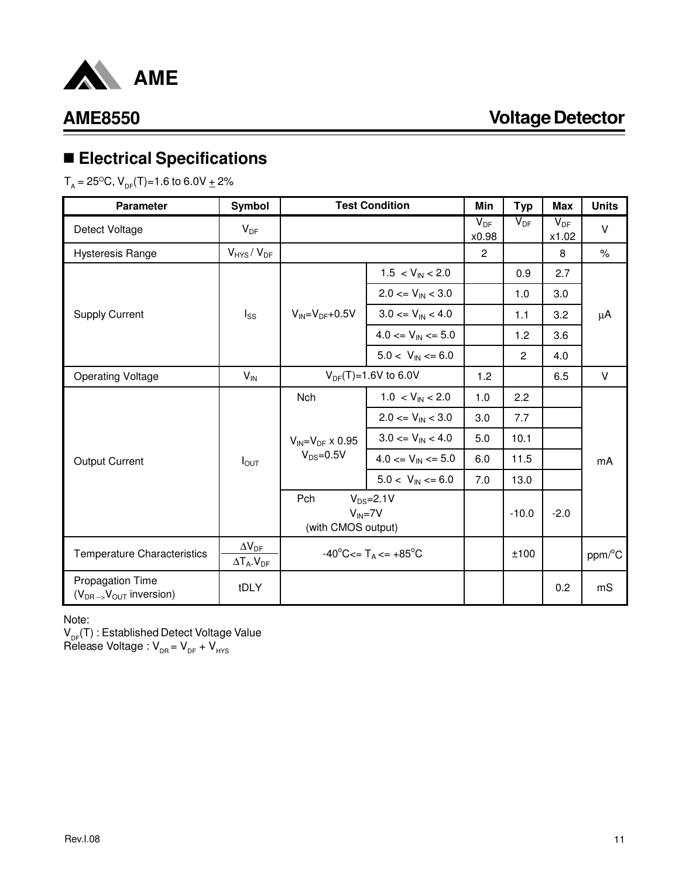

## n **Electrical Specifications**

 ${\sf T}_{_{\sf A}}$  = 25 $^{{\sf O}}$ C,  ${\sf V}_{_{\sf DF}}$ (T)=1.6 to 6.0V  $\pm$  2%

| <b>Parameter</b>                                              | Symbol                                            |                                                                | <b>Test Condition</b>          | Min               | <b>Typ</b>     | Max               | <b>Units</b> |
|---------------------------------------------------------------|---------------------------------------------------|----------------------------------------------------------------|--------------------------------|-------------------|----------------|-------------------|--------------|
| Detect Voltage                                                | $V_{DF}$                                          |                                                                |                                | $V_{DF}$<br>x0.98 | $V_{DF}$       | $V_{DF}$<br>x1.02 | $\vee$       |
| <b>Hysteresis Range</b>                                       | $V_{HYS} / V_{DF}$                                |                                                                |                                | $\overline{2}$    |                | 8                 | $\%$         |
|                                                               |                                                   |                                                                | $1.5 < V_{IN} < 2.0$           |                   | 0.9            | 2.7               |              |
|                                                               |                                                   |                                                                | $2.0 \le V_{\text{IN}} < 3.0$  |                   | 1.0            | 3.0               |              |
| <b>Supply Current</b>                                         | $I_{SS}$                                          | $V_{IN} = V_{DF} + 0.5V$                                       | $3.0 \leq V_{\text{IN}} < 4.0$ |                   | 1.1            | 3.2               | μA           |
|                                                               |                                                   |                                                                | $4.0 \leq V_{IN} \leq 5.0$     |                   | 1.2            | 3.6               |              |
|                                                               |                                                   |                                                                | $5.0 < V_{\text{IN}} \le 6.0$  |                   | $\overline{c}$ | 4.0               |              |
| <b>Operating Voltage</b>                                      | $V_{IN}$                                          |                                                                | $V_{DF}(T)=1.6V$ to 6.0V       | 1.2               |                | 6.5               | $\vee$       |
|                                                               | $I_{\text{OUT}}$                                  | <b>Nch</b>                                                     | $1.0 < V_{IN} < 2.0$           | 1.0               | 2.2            |                   | mA           |
|                                                               |                                                   | $V_{\text{IN}}=V_{\text{DF}}$ x 0.95<br>$V_{DS} = 0.5V$        | $2.0 \le V_{\text{IN}} < 3.0$  | 3.0               | 7.7            |                   |              |
|                                                               |                                                   |                                                                | $3.0 \le V_{\text{IN}} < 4.0$  | 5.0               | 10.1           |                   |              |
| <b>Output Current</b>                                         |                                                   |                                                                | $4.0 \leq V_{IN} \leq 5.0$     | 6.0               | 11.5           |                   |              |
|                                                               |                                                   |                                                                | $5.0 < V_{\text{IN}} \le 6.0$  | 7.0               | 13.0           |                   |              |
|                                                               |                                                   | Pch<br>$V_{DS} = 2.1 V$<br>$V_{IN} = 7V$<br>(with CMOS output) |                                |                   | $-10.0$        | $-2.0$            |              |
| Temperature Characteristics                                   | $\Delta V_{\text{DF}}$<br>$\Delta T_A$ , $V_{DF}$ | $-40^{\circ}$ C<= T <sub>A</sub> <= $+85^{\circ}$ C            |                                |                   | ±100           |                   | ppm/°C       |
| Propagation Time<br>$(V_{DR \rightarrow V_{OUT}})$ inversion) | tDLY                                              |                                                                |                                |                   |                | 0.2               | mS           |

Note:

 $\mathsf{V}_{\mathsf{DF}}(\mathsf{T})$  : Established Detect Voltage Value Release Voltage :  $V_{DR} = V_{DF} + V_{HYS}$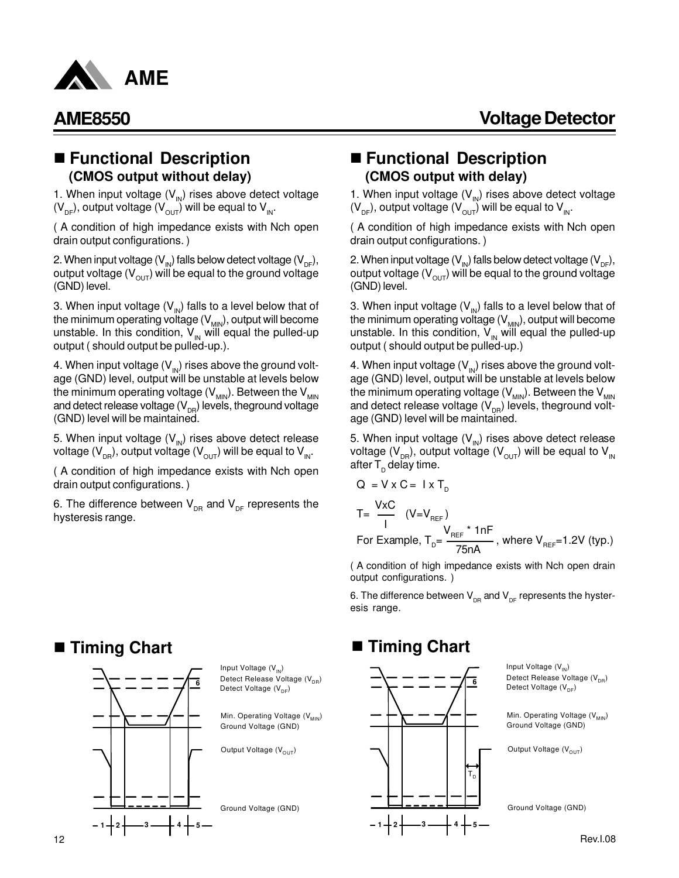

### n **Functional Description (CMOS output without delay)**

1. When input voltage  $(V_{N})$  rises above detect voltage  $(V_{DE})$ , output voltage  $(V_{OUT})$  will be equal to  $V_{DE}$ .

( A condition of high impedance exists with Nch open drain output configurations. )

2. When input voltage ( $V_{\text{IN}}$ ) falls below detect voltage ( $V_{\text{DF}}$ ), output voltage  $(V_{\text{out}})$  will be equal to the ground voltage (GND) level.

3. When input voltage  $(V_{N})$  falls to a level below that of the minimum operating voltage  $(V_{MIN})$ , output will become unstable. In this condition,  $V_{\text{IN}}$  will equal the pulled-up output ( should output be pulled-up.).

4. When input voltage  $(V_{N})$  rises above the ground voltage (GND) level, output will be unstable at levels below the minimum operating voltage  $(V_{MIN})$ . Between the  $V_{MIN}$ and detect release voltage ( $\mathsf{V}_{\text{\tiny{DR}}}$ ) levels, theground voltage (GND) level will be maintained.

5. When input voltage  $(V_{N})$  rises above detect release voltage (V<sub>DR</sub>), output voltage (V<sub>OUT</sub>) will be equal to V<sub>IN</sub>.

( A condition of high impedance exists with Nch open drain output configurations. )

6. The difference between  $\bm{\mathsf{V}}_{_{\sf DR}}$  and  $\bm{\mathsf{V}}_{_{\sf DF}}$  represents the hysteresis range.

### n **Functional Description (CMOS output with delay)**

1. When input voltage  $(V_{N})$  rises above detect voltage  $(V_{DE})$ , output voltage  $(V_{OUT})$  will be equal to  $V_{DE}$ .

( A condition of high impedance exists with Nch open drain output configurations. )

2. When input voltage ( $V_{\text{IN}}$ ) falls below detect voltage ( $V_{\text{DF}}$ ), output voltage ( $V_{\text{OUT}}$ ) will be equal to the ground voltage (GND) level.

3. When input voltage  $(V_{N})$  falls to a level below that of the minimum operating voltage  $(V_{MIN})$ , output will become unstable. In this condition,  $V_{\text{IN}}$  will equal the pulled-up output ( should output be pulled-up.)

4. When input voltage  $(V_{N})$  rises above the ground voltage (GND) level, output will be unstable at levels below the minimum operating voltage ( $V_{MIN}$ ). Between the  $V_{MIN}$ and detect release voltage ( $\mathsf{V}_{_{\text{DR}}}\!\!)$  levels, theground voltage (GND) level will be maintained.

5. When input voltage  $(V_{N})$  rises above detect release voltage (V<sub>DR</sub>), output voltage (V<sub>OUT</sub>) will be equal to V<sub>IN</sub> after T<sub>D</sub> delay time.

$$
Q = V \times Q = TXI_{D}
$$
  
\n
$$
T = \frac{V \times C}{I} \quad (V = V_{REF})
$$
  
\nFor Example,  $T_{D} = \frac{V_{REF} \times 1nF}{75nA}$ , where  $V_{REF} = 1.2V$  (typ.)

( A condition of high impedance exists with Nch open drain output configurations. )

6. The difference between  $\bm{\mathsf{V}}_{_{\sf DR}}$  and  $\bm{\mathsf{V}}_{_{\sf DF}}$  represents the hysteresis range.

### Rev.I.08 ■ Timing Chart Detect Voltage (V<sub>DF</sub>) Min. Operating Voltage (V<sub>MIN</sub>) Output Voltage (V<sub>OUT</sub>) Ground Voltage (GND) Ground Voltage (GND) Detect Release Voltage (V<sub>DR</sub>) Input Voltage (V<sub>IN</sub>) **1 2 3 4 5 6** T<sub>D</sub>

■ Timing Chart

Detect Voltage (V<sub>DF</sub>) Detect Release Voltage (V<sub>DR</sub>) Input Voltage (V<sub>IN</sub>)

Min. Operating Voltage (V<sub>MIN</sub>) Ground Voltage (GND)

Output Voltage (V<sub>OUT</sub>)

Ground Voltage (GND)



 $V \times C = V \times T$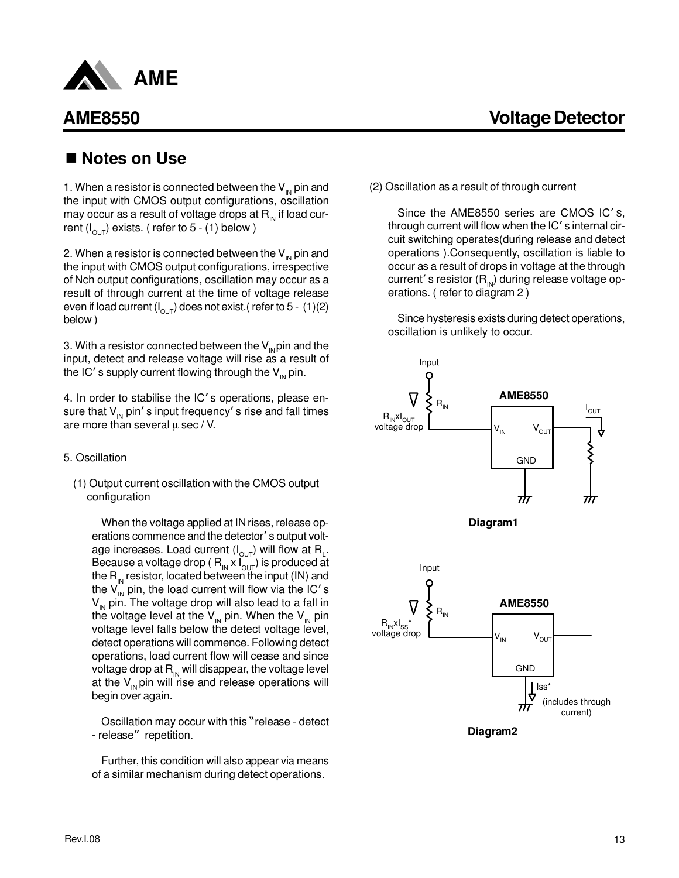

## ■ Notes on Use

1. When a resistor is connected between the  $V_{\text{IN}}$  pin and the input with CMOS output configurations, oscillation may occur as a result of voltage drops at  $R_{\text{in}}$  if load current ( $I_{\text{OUT}}$ ) exists. ( refer to 5 - (1) below )

2. When a resistor is connected between the  $V_{\text{IN}}$  pin and the input with CMOS output configurations, irrespective of Nch output configurations, oscillation may occur as a result of through current at the time of voltage release even if load current ( $I_{OUT}$ ) does not exist.( refer to 5 - (1)(2) below )

3. With a resistor connected between the  $V_{\text{N}}$  pin and the input, detect and release voltage will rise as a result of the IC's supply current flowing through the  $V_{\text{IN}}$  pin.

4. In order to stabilise the IC's operations, please ensure that  $V_{\text{IN}}$  pin's input frequency's rise and fall times are more than several  $\mu$  sec / V.

- 5. Oscillation
	- (1) Output current oscillation with the CMOS output configuration

When the voltage applied at IN rises, release operations commence and the detector's output voltage increases. Load current (I<sub>OUT</sub>) will flow at  $\mathsf{R}_\mathsf{L}.$ Because a voltage drop ( $R_{IN}$  x  $I_{OUT}$ ) is produced at the  $R_{\text{IN}}$  resistor, located between the input (IN) and the  $V_{\text{in}}$  pin, the load current will flow via the IC's  $V_{\text{IN}}$  pin. The voltage drop will also lead to a fall in the voltage level at the  $V_{\text{IN}}$  pin. When the  $V_{\text{IN}}$  pin voltage level falls below the detect voltage level, detect operations will commence. Following detect operations, load current flow will cease and since voltage drop at  $R_{\text{IN}}$  will disappear, the voltage level at the  $V_{\text{IN}}$  pin will rise and release operations will begin over again.

Oscillation may occur with this "release - detect - release" repetition.

Further, this condition will also appear via means of a similar mechanism during detect operations.

(2) Oscillation as a result of through current

Since the AME8550 series are CMOS IC's, through current will flow when the  $IC'$  s internal circuit switching operates(during release and detect operations ).Consequently, oscillation is liable to occur as a result of drops in voltage at the through current's resistor  $(R_{N})$  during release voltage operations. ( refer to diagram 2 )

Since hysteresis exists during detect operations, oscillation is unlikely to occur.







**Diagram2**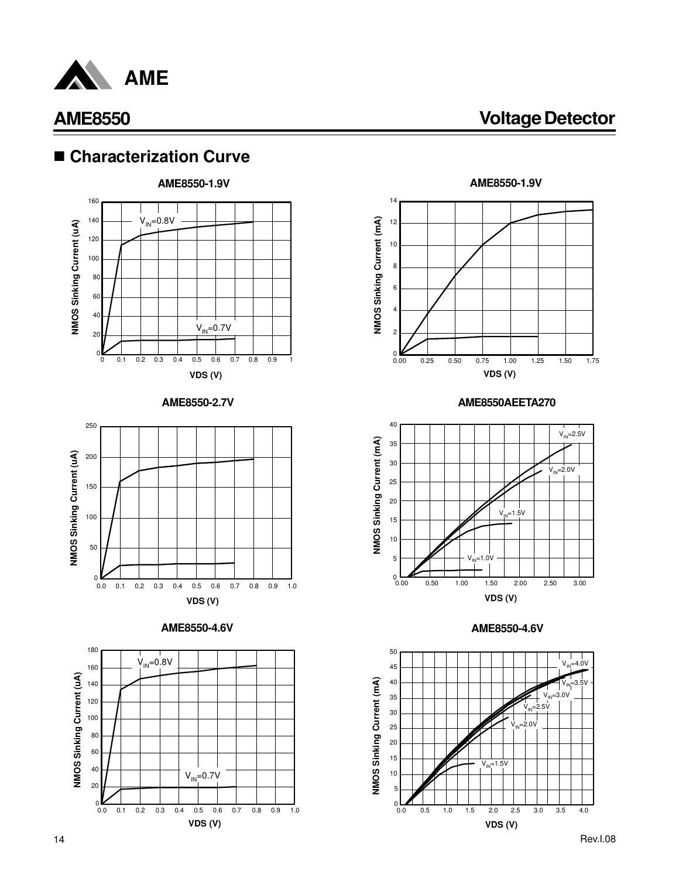

**AME8550 Voltage Detector**

## n **Characterization Curve**



**AME8550-2.7V**









**AME8550AEETA270**



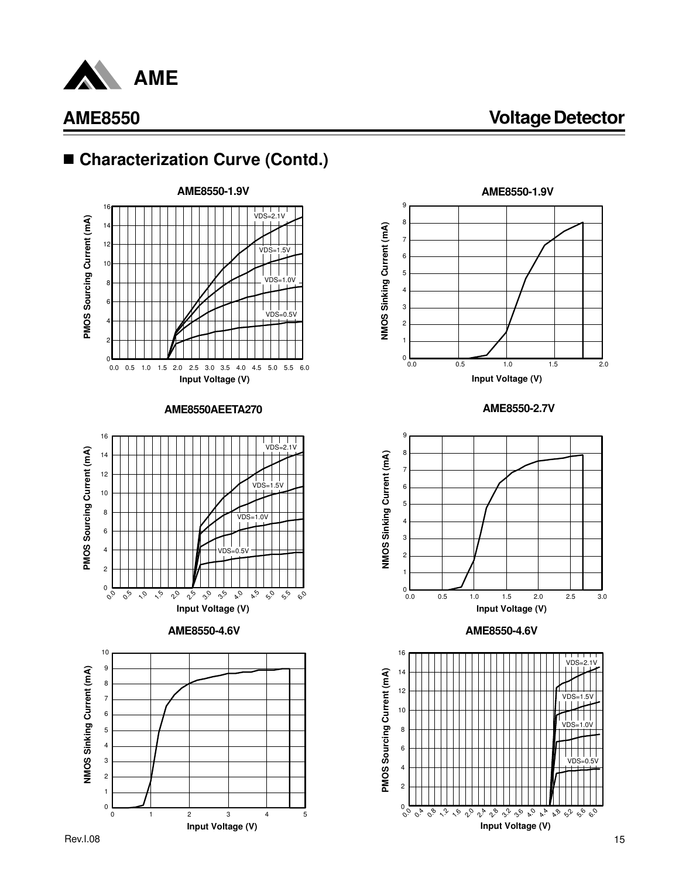

## ■ Characterization Curve (Contd.)



**AME8550AEETA270**







**AME8550-2.7V**



**AME8550-4.6V AME8550-4.6V**

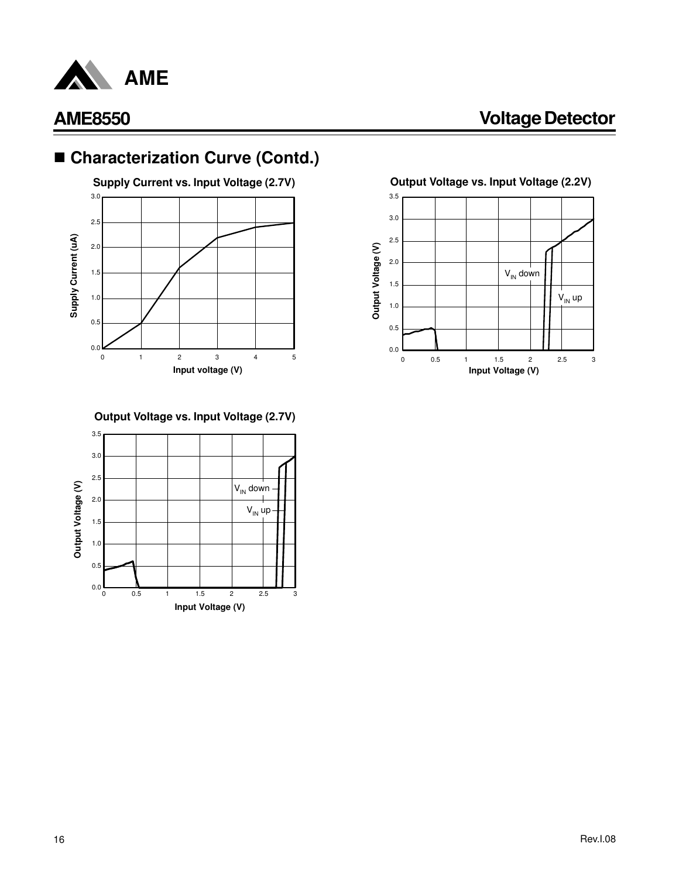

## ■ Characterization Curve (Contd.)



**Supply Current vs. Input Voltage (2.7V) Output Voltage vs. Input Voltage (2.2V)**



### **Output Voltage vs. Input Voltage (2.7V)**

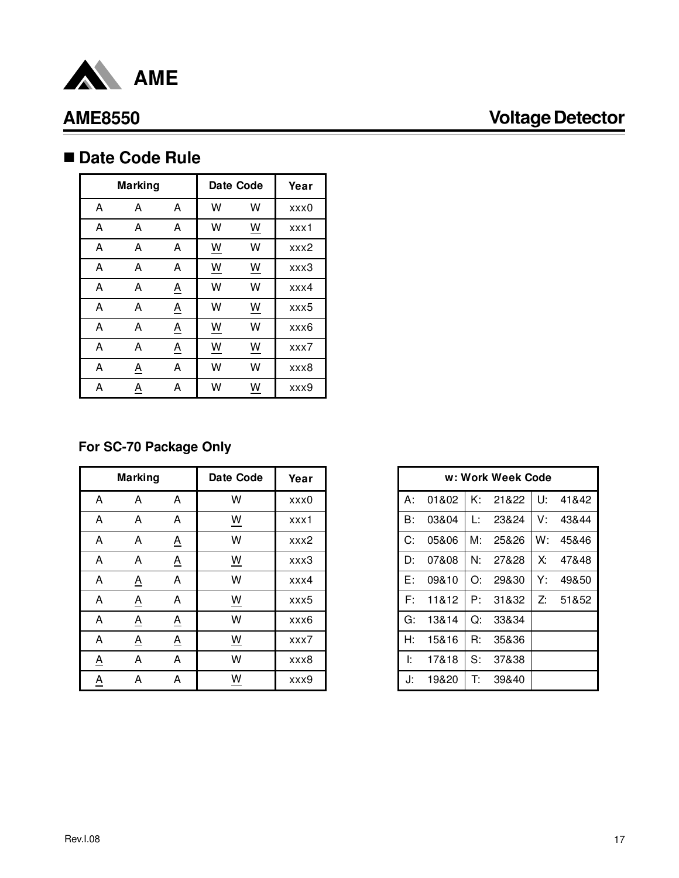

## ■ Date Code Rule

|   | <b>Marking</b>  |          |                          | Date Code                | Year |
|---|-----------------|----------|--------------------------|--------------------------|------|
| A | A               | Α        | W                        | w                        | xxx0 |
| A | А               | A        | W                        | W                        | xxx1 |
| A | A               | A        | $\underline{\mathsf{W}}$ | W                        | xxx2 |
| A | A               | A        | $\underline{\mathsf{W}}$ | $\underline{\mathsf{W}}$ | xxx3 |
| A | А               | <u>A</u> | W                        | W                        | xxx4 |
| A | A               | <u>A</u> | W                        | $\underline{\mathsf{W}}$ | xxx5 |
| Α | A               | <u>A</u> | W                        | W                        | xxx6 |
| Α | Α               | <u>A</u> | <u>W</u>                 | W                        | xxx7 |
| Α | $\underline{A}$ | A        | W                        | W                        | xxx8 |
| A | <u>A</u>        | A        | W                        | W                        | xxx9 |

### **For SC-70 Package Only**

|                          | <b>Marking</b>  |                          | Date Code                            | Year |
|--------------------------|-----------------|--------------------------|--------------------------------------|------|
| A                        | A               | A                        | W                                    | xxx0 |
| A                        | A               | A                        | $\underline{\underline{\mathsf{w}}}$ | xxx1 |
| A                        | A               | $\underline{A}$          | W                                    | xxx2 |
| A                        | A               | $\underline{A}$          | $\underline{\underline{W}}$          | xxx3 |
| A                        | $\underline{A}$ | A                        | W                                    | xxx4 |
| A                        | $\underline{A}$ | A                        | $\underline{\underline{\mathsf{W}}}$ | xxx5 |
| A                        | $\underline{A}$ | $\underline{A}$          | W                                    | xxx6 |
| A                        | $\underline{A}$ | $\underline{\mathsf{A}}$ | $\underline{\underline{\mathsf{w}}}$ | xxx7 |
| $\underline{\mathsf{A}}$ | A               | A                        | W                                    | xxx8 |
| <u>A</u>                 | A               | A                        | $\underline{\underline{\mathsf{W}}}$ | xxx9 |

|    | w: Work Week Code |    |       |    |       |  |  |  |
|----|-------------------|----|-------|----|-------|--|--|--|
| А: | 01&02             | K٠ | 21&22 | U: | 41&42 |  |  |  |
| B: | 03&04             | Ŀ  | 23&24 | V: | 43&44 |  |  |  |
| C: | 05&06             | M: | 25&26 | W: | 45&46 |  |  |  |
| D: | 07&08             | N. | 27&28 | X. | 47&48 |  |  |  |
| E: | 09&10             | O: | 29&30 | Y. | 49&50 |  |  |  |
| F۰ | 11&12             | P: | 31&32 | Z: | 51&52 |  |  |  |
| G: | 13&14             | O: | 33&34 |    |       |  |  |  |
| Н: | 15&16             | R: | 35&36 |    |       |  |  |  |
| Ŀ  | 17&18             | S: | 37&38 |    |       |  |  |  |
| J: | 19&20             | T: | 39&40 |    |       |  |  |  |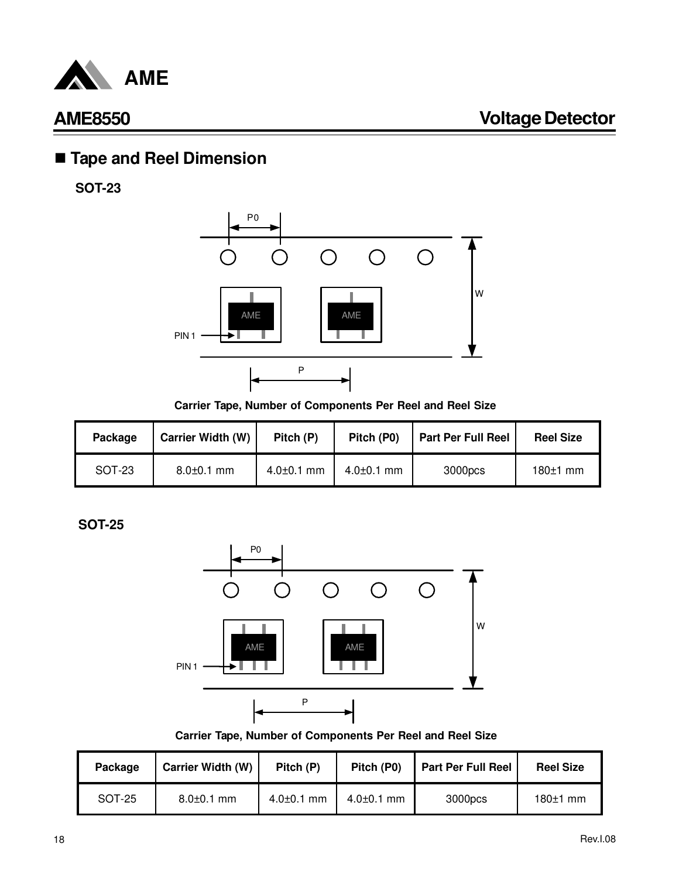

## n **Tape and Reel Dimension**

**SOT-23**



**Carrier Tape, Number of Components Per Reel and Reel Size**

| Package | <b>Carrier Width (W)</b> | Pitch (P)        | Pitch (P0)       | <b>Part Per Full Reel</b> | <b>Reel Size</b> |
|---------|--------------------------|------------------|------------------|---------------------------|------------------|
| SOT-23  | $8.0 \pm 0.1$ mm         | $4.0 \pm 0.1$ mm | $4.0 \pm 0.1$ mm | 3000pcs                   | 180±1 mm         |

**SOT-25**



**Carrier Tape, Number of Components Per Reel and Reel Size**

| Package | Carrier Width (W) | Pitch (P)        | Pitch (P0)       | <b>Part Per Full Reel</b> | <b>Reel Size</b> |
|---------|-------------------|------------------|------------------|---------------------------|------------------|
| SOT-25  | $8.0 \pm 0.1$ mm  | $4.0{\pm}0.1$ mm | $4.0{\pm}0.1$ mm | 3000pcs                   | $180±1$ mm       |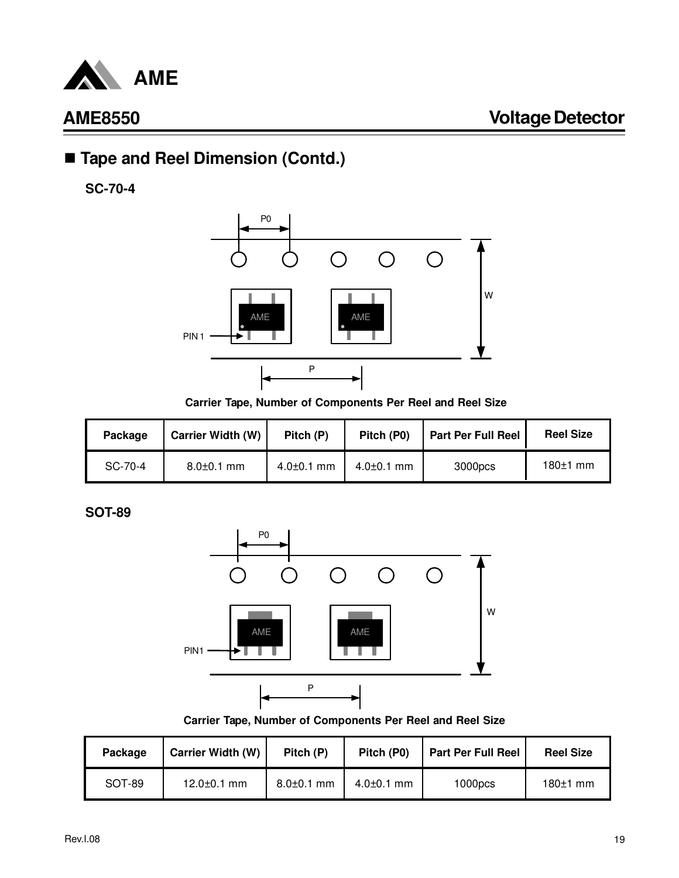

## ■ Tape and Reel Dimension (Contd.)

**SC-70-4**



**Carrier Tape, Number of Components Per Reel and Reel Size**

| Package | <b>Carrier Width (W)</b> | Pitch (P)        | Pitch (P0)       | <b>Part Per Full Reel</b> | <b>Reel Size</b> |
|---------|--------------------------|------------------|------------------|---------------------------|------------------|
| SC-70-4 | $8.0 \pm 0.1$ mm         | $4.0{\pm}0.1$ mm | $4.0{\pm}0.1$ mm | 3000pcs                   | $180±1$ mm       |

**SOT-89**



**Carrier Tape, Number of Components Per Reel and Reel Size**

| Package | <b>Carrier Width (W)</b> | Pitch (P)        | Pitch (P0)       | <b>Part Per Full Reel</b> | <b>Reel Size</b> |
|---------|--------------------------|------------------|------------------|---------------------------|------------------|
| SOT-89  | $12.0 \pm 0.1$ mm        | $8.0 \pm 0.1$ mm | $4.0{\pm}0.1$ mm | 1000 <sub>DCS</sub>       | $180±1$ mm       |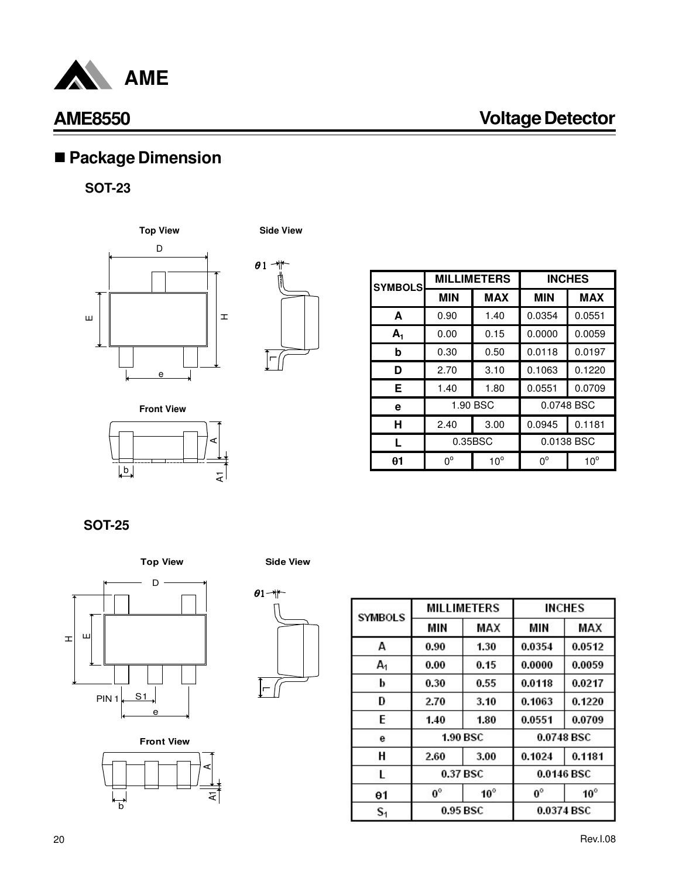

# n **Package Dimension**

### **SOT-23**





| <b>SYMBOLS</b> |             | <b>MILLIMETERS</b> | <b>INCHES</b> |              |  |
|----------------|-------------|--------------------|---------------|--------------|--|
|                | <b>MIN</b>  | <b>MAX</b>         | <b>MIN</b>    | <b>MAX</b>   |  |
| A              | 0.90        | 1.40               | 0.0354        | 0.0551       |  |
| $A_1$          | 0.00        | 0.15               | 0.0000        | 0.0059       |  |
| b              | 0.30        | 0.50               | 0.0118        | 0.0197       |  |
| D              | 2.70        | 3.10               | 0.1063        | 0.1220       |  |
| Е              | 1.40        | 1.80               | 0.0551        | 0.0709       |  |
| е              |             | 1.90 BSC           | 0.0748 BSC    |              |  |
| н              | 2.40        | 3.00               | 0.0945        | 0.1181       |  |
| L              |             | 0.35BSC            | 0.0138 BSC    |              |  |
| 01             | $0^{\circ}$ | $10^{\circ}$       | $0^{\circ}$   | $10^{\circ}$ |  |

**Front View**



**SOT-25**











| <b>SYMBOLS</b> |             | <b>MILLIMETERS</b> | <b>INCHES</b> |              |  |
|----------------|-------------|--------------------|---------------|--------------|--|
|                | MIN         | MAX                | МIМ           | MAX          |  |
| A              | 0.90        | 1.30               | 0.0354        | 0.0512       |  |
| A <sub>1</sub> | 0.00        | 0.15               | 0.0000        | 0.0059       |  |
| b              | 0.30        | 0.55               | 0.0118        | 0.0217       |  |
| Đ              | 2.70        | 3.10               | 0.1063        | 0.1220       |  |
| E              | 1.40        | 1.80               | 0.0551        | 0.0709       |  |
| е              |             | 1.90 BSC           | 0.0748 BSC    |              |  |
| н              | 2.60        | 3.00               | 0.1024        | 0.1181       |  |
| г              |             | 0.37 BSC           |               | 0.0146 BSC   |  |
| $\theta$ 1     | $0^{\circ}$ | $10^{\circ}$       | $0^\circ$     | $10^{\circ}$ |  |
| $\mathbf{S}_1$ | 0.95 BSC    |                    | 0.0374 BSC    |              |  |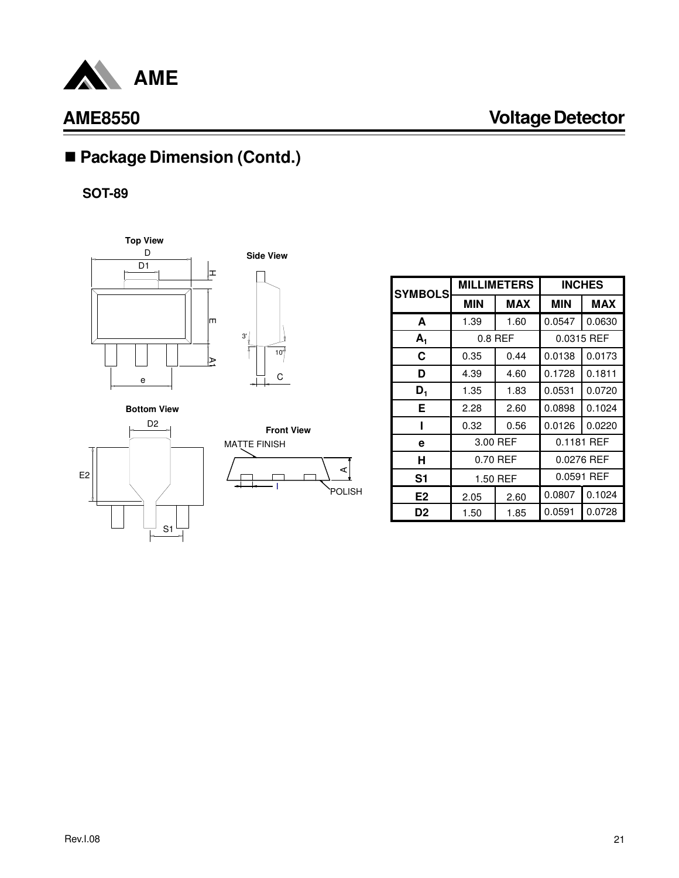

# ■ Package Dimension (Contd.)

**SOT-89**





**Bottom View**





| <b>SYMBOLS</b> |            | <b>MILLIMETERS</b> |            | <b>INCHES</b> |  |
|----------------|------------|--------------------|------------|---------------|--|
|                | <b>MIN</b> | <b>MAX</b>         | <b>MIN</b> | <b>MAX</b>    |  |
| A              | 1.39       | 1.60               | 0.0547     | 0.0630        |  |
| $A_1$          |            | $0.8$ REF          |            | 0.0315 REF    |  |
| С              | 0.35       | 0.44               | 0.0138     | 0.0173        |  |
| D              | 4.39       | 4.60               | 0.1728     | 0.1811        |  |
| $D_1$          | 1.35       | 1.83               | 0.0531     | 0.0720        |  |
| Е              | 2.28       | 2.60               | 0.0898     | 0.1024        |  |
|                | 0.32       | 0.56               | 0.0126     | 0.0220        |  |
| е              |            | 3.00 REF           | 0.1181 REF |               |  |
| н              |            | 0.70 REF           | 0.0276 REF |               |  |
| S1             |            | 1.50 REF           |            | 0.0591 REF    |  |
| E <sub>2</sub> | 2.05       | 2.60               | 0.0807     | 0.1024        |  |
| D <sub>2</sub> | 1.50       | 1.85               | 0.0591     | 0.0728        |  |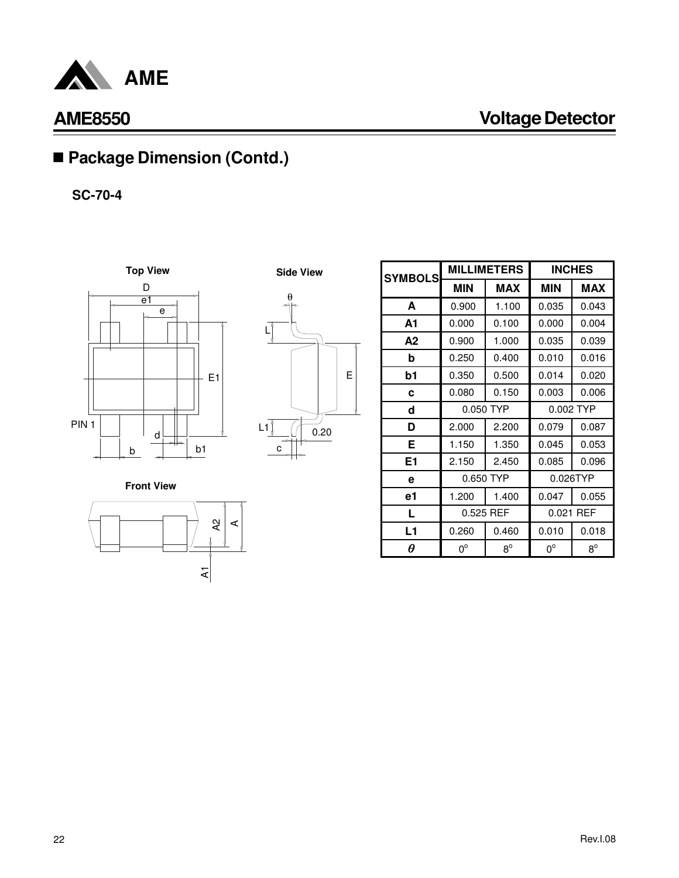

T

## ■ Package Dimension (Contd.)

**SC-70-4**





| <b>SYMBOLS</b> |             | <b>MILLIMETERS</b> | <b>INCHES</b> |             |  |
|----------------|-------------|--------------------|---------------|-------------|--|
|                | <b>MIN</b>  | <b>MAX</b>         | <b>MIN</b>    | <b>MAX</b>  |  |
| A              | 0.900       | 1.100              | 0.035         | 0.043       |  |
| A1             | 0.000       | 0.100              | 0.000         | 0.004       |  |
| A2             | 0.900       | 1.000              | 0.035         | 0.039       |  |
| b              | 0.250       | 0.400              | 0.010         | 0.016       |  |
| b1             | 0.350       | 0.500              | 0.014         | 0.020       |  |
| C              | 0.080       | 0.150              | 0.003         | 0.006       |  |
| d              |             | 0.050 TYP          | 0.002 TYP     |             |  |
| D              | 2.000       | 2.200              | 0.079         | 0.087       |  |
| Е              | 1.150       | 1.350              | 0.045         | 0.053       |  |
| E1             | 2.150       | 2.450              | 0.085         | 0.096       |  |
| е              |             | 0.650 TYP          |               | 0.026TYP    |  |
| е1             | 1.200       | 1.400              | 0.047         | 0.055       |  |
| L              |             | 0.525 REF          |               | 0.021 REF   |  |
| L1             | 0.260       | 0.460              | 0.010         | 0.018       |  |
| θ              | $0^{\circ}$ | $8^{\circ}$        | $0^{\circ}$   | $8^{\circ}$ |  |

**Front View**